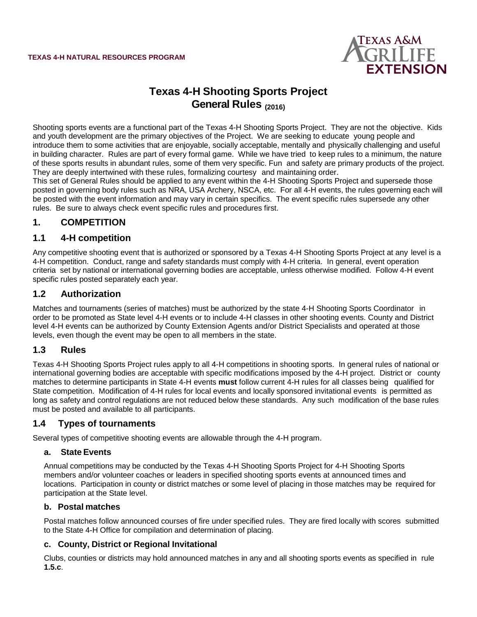

# **Texas 4-H Shooting Sports Project General Rules (2016)**

Shooting sports events are a functional part of the Texas 4-H Shooting Sports Project. They are not the objective. Kids and youth development are the primary objectives of the Project. We are seeking to educate young people and introduce them to some activities that are enjoyable, socially acceptable, mentally and physically challenging and useful in building character. Rules are part of every formal game. While we have tried to keep rules to a minimum, the nature of these sports results in abundant rules, some of them very specific. Fun and safety are primary products of the project. They are deeply intertwined with these rules, formalizing courtesy and maintaining order.

This set of General Rules should be applied to any event within the 4-H Shooting Sports Project and supersede those posted in governing body rules such as NRA, USA Archery, NSCA, etc. For all 4-H events, the rules governing each will be posted with the event information and may vary in certain specifics. The event specific rules supersede any other rules. Be sure to always check event specific rules and procedures first.

# **1. COMPETITION**

### **1.1 4-H competition**

Any competitive shooting event that is authorized or sponsored by a Texas 4-H Shooting Sports Project at any level is a 4-H competition. Conduct, range and safety standards must comply with 4-H criteria. In general, event operation criteria set by national or international governing bodies are acceptable, unless otherwise modified. Follow 4-H event specific rules posted separately each year.

### **1.2 Authorization**

Matches and tournaments (series of matches) must be authorized by the state 4-H Shooting Sports Coordinator in order to be promoted as State level 4-H events or to include 4-H classes in other shooting events. County and District level 4-H events can be authorized by County Extension Agents and/or District Specialists and operated at those levels, even though the event may be open to all members in the state.

#### **1.3 Rules**

Texas 4-H Shooting Sports Project rules apply to all 4-H competitions in shooting sports. In general rules of national or international governing bodies are acceptable with specific modifications imposed by the 4-H project. District or county matches to determine participants in State 4-H events **must** follow current 4-H rules for all classes being qualified for State competition. Modification of 4-H rules for local events and locally sponsored invitational events is permitted as long as safety and control regulations are not reduced below these standards. Any such modification of the base rules must be posted and available to all participants.

# **1.4 Types of tournaments**

Several types of competitive shooting events are allowable through the 4-H program.

#### **a. State Events**

Annual competitions may be conducted by the Texas 4-H Shooting Sports Project for 4-H Shooting Sports members and/or volunteer coaches or leaders in specified shooting sports events at announced times and locations. Participation in county or district matches or some level of placing in those matches may be required for participation at the State level.

#### **b. Postal matches**

Postal matches follow announced courses of fire under specified rules. They are fired locally with scores submitted to the State 4-H Office for compilation and determination of placing.

#### **c. County, District or Regional Invitational**

Clubs, counties or districts may hold announced matches in any and all shooting sports events as specified in rule **1.5.c**.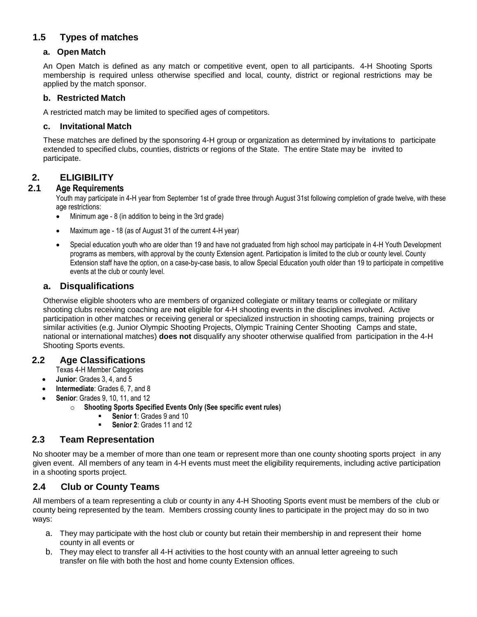# **1.5 Types of matches**

#### **a. Open Match**

An Open Match is defined as any match or competitive event, open to all participants. 4-H Shooting Sports membership is required unless otherwise specified and local, county, district or regional restrictions may be applied by the match sponsor.

#### **b. Restricted Match**

A restricted match may be limited to specified ages of competitors.

#### **c. Invitational Match**

These matches are defined by the sponsoring 4-H group or organization as determined by invitations to participate extended to specified clubs, counties, districts or regions of the State. The entire State may be invited to participate.

### **2. ELIGIBILITY**

#### **2.1 Age Requirements**

Youth may participate in 4-H year from September 1st of grade three through August 31st following completion of grade twelve, with these age restrictions:

- Minimum age 8 (in addition to being in the 3rd grade)
- Maximum age 18 (as of August 31 of the current 4-H year)
- Special education youth who are older than 19 and have not graduated from high school may participate in 4-H Youth Development programs as members, with approval by the county Extension agent. Participation is limited to the club or county level. County Extension staff have the option, on a case-by-case basis, to allow Special Education youth older than 19 to participate in competitive events at the club or county level.

#### **a. Disqualifications**

Otherwise eligible shooters who are members of organized collegiate or military teams or collegiate or military shooting clubs receiving coaching are **not** eligible for 4-H shooting events in the disciplines involved. Active participation in other matches or receiving general or specialized instruction in shooting camps, training projects or similar activities (e.g. Junior Olympic Shooting Projects, Olympic Training Center Shooting Camps and state, national or international matches) **does not** disqualify any shooter otherwise qualified from participation in the 4-H Shooting Sports events.

### **2.2 Age Classifications**

Texas 4-H Member Categories

- **Junior**: Grades 3, 4, and 5
- **Intermediate**: Grades 6, 7, and 8
- **Senior**: Grades 9, 10, 11, and 12
	- o **Shooting Sports Specified Events Only (See specific event rules)**
		- **Senior 1**: Grades 9 and 10
		- **Senior 2**: Grades 11 and 12

# **2.3 Team Representation**

No shooter may be a member of more than one team or represent more than one county shooting sports project in any given event. All members of any team in 4-H events must meet the eligibility requirements, including active participation in a shooting sports project.

# **2.4 Club or County Teams**

All members of a team representing a club or county in any 4-H Shooting Sports event must be members of the club or county being represented by the team. Members crossing county lines to participate in the project may do so in two ways:

- a. They may participate with the host club or county but retain their membership in and represent their home county in all events or
- b. They may elect to transfer all 4-H activities to the host county with an annual letter agreeing to such transfer on file with both the host and home county Extension offices.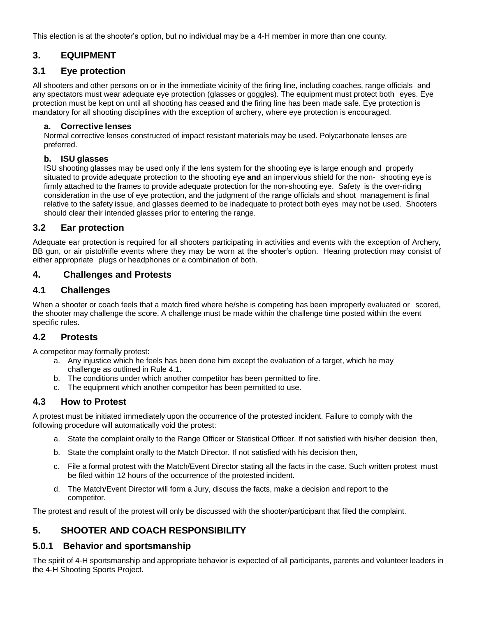This election is at the shooter's option, but no individual may be a 4-H member in more than one county.

# **3. EQUIPMENT**

# **3.1 Eye protection**

All shooters and other persons on or in the immediate vicinity of the firing line, including coaches, range officials and any spectators must wear adequate eye protection (glasses or goggles). The equipment must protect both eyes. Eye protection must be kept on until all shooting has ceased and the firing line has been made safe. Eye protection is mandatory for all shooting disciplines with the exception of archery, where eye protection is encouraged.

#### **a. Corrective lenses**

Normal corrective lenses constructed of impact resistant materials may be used. Polycarbonate lenses are preferred.

### **b. ISU glasses**

ISU shooting glasses may be used only if the lens system for the shooting eye is large enough and properly situated to provide adequate protection to the shooting eye **and** an impervious shield for the non- shooting eye is firmly attached to the frames to provide adequate protection for the non-shooting eye. Safety is the over-riding consideration in the use of eye protection, and the judgment of the range officials and shoot management is final relative to the safety issue, and glasses deemed to be inadequate to protect both eyes may not be used. Shooters should clear their intended glasses prior to entering the range.

# **3.2 Ear protection**

Adequate ear protection is required for all shooters participating in activities and events with the exception of Archery, BB gun, or air pistol/rifle events where they may be worn at the shooter's option. Hearing protection may consist of either appropriate plugs or headphones or a combination of both.

# **4. Challenges and Protests**

# **4.1 Challenges**

When a shooter or coach feels that a match fired where he/she is competing has been improperly evaluated or scored, the shooter may challenge the score. A challenge must be made within the challenge time posted within the event specific rules.

# **4.2 Protests**

A competitor may formally protest:

- a. Any injustice which he feels has been done him except the evaluation of a target, which he may challenge as outlined in Rule 4.1.
- b. The conditions under which another competitor has been permitted to fire.
- c. The equipment which another competitor has been permitted to use.

# **4.3 How to Protest**

A protest must be initiated immediately upon the occurrence of the protested incident. Failure to comply with the following procedure will automatically void the protest:

- a. State the complaint orally to the Range Officer or Statistical Officer. If not satisfied with his/her decision then,
- b. State the complaint orally to the Match Director. If not satisfied with his decision then,
- c. File a formal protest with the Match/Event Director stating all the facts in the case. Such written protest must be filed within 12 hours of the occurrence of the protested incident.
- d. The Match/Event Director will form a Jury, discuss the facts, make a decision and report to the competitor.

The protest and result of the protest will only be discussed with the shooter/participant that filed the complaint.

# **5. SHOOTER AND COACH RESPONSIBILITY**

# **5.0.1 Behavior and sportsmanship**

The spirit of 4-H sportsmanship and appropriate behavior is expected of all participants, parents and volunteer leaders in the 4-H Shooting Sports Project.